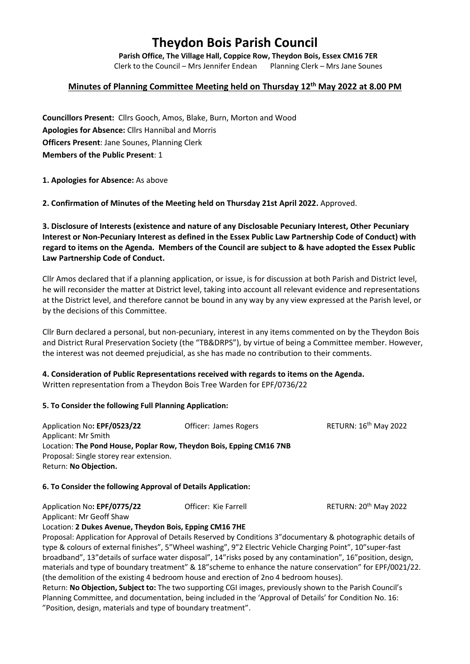# **Theydon Bois Parish Council**

**Parish Office, The Village Hall, Coppice Row, Theydon Bois, Essex CM16 7ER**

Clerk to the Council – Mrs Jennifer Endean Planning Clerk – Mrs Jane Sounes

## **Minutes of Planning Committee Meeting held on Thursday 12th May 2022 at 8.00 PM**

**Councillors Present:** Cllrs Gooch, Amos, Blake, Burn, Morton and Wood **Apologies for Absence:** Cllrs Hannibal and Morris **Officers Present**: Jane Sounes, Planning Clerk **Members of the Public Present**: 1

**1. Apologies for Absence:** As above

**2. Confirmation of Minutes of the Meeting held on Thursday 21st April 2022.** Approved.

**3. Disclosure of Interests (existence and nature of any Disclosable Pecuniary Interest, Other Pecuniary Interest or Non-Pecuniary Interest as defined in the Essex Public Law Partnership Code of Conduct) with regard to items on the Agenda. Members of the Council are subject to & have adopted the Essex Public Law Partnership Code of Conduct.**

Cllr Amos declared that if a planning application, or issue, is for discussion at both Parish and District level, he will reconsider the matter at District level, taking into account all relevant evidence and representations at the District level, and therefore cannot be bound in any way by any view expressed at the Parish level, or by the decisions of this Committee.

Cllr Burn declared a personal, but non-pecuniary, interest in any items commented on by the Theydon Bois and District Rural Preservation Society (the "TB&DRPS"), by virtue of being a Committee member. However, the interest was not deemed prejudicial, as she has made no contribution to their comments.

## **4. Consideration of Public Representations received with regards to items on the Agenda.**

Written representation from a Theydon Bois Tree Warden for EPF/0736/22

#### **5. To Consider the following Full Planning Application:**

Application No: **EPF/0523/22 Officer: James Rogers** RETURN: 16<sup>th</sup> May 2022 Applicant: Mr Smith Location: **The Pond House, Poplar Row, Theydon Bois, Epping CM16 7NB** Proposal: Single storey rear extension. Return: **No Objection.**

#### **6. To Consider the following Approval of Details Application:**

| Application No: EPF/0775/22 | Officer: Kie Farrell | RETURN: 20 <sup>th</sup> May 2022 |
|-----------------------------|----------------------|-----------------------------------|
| Applicant: Mr Geoff Shaw    |                      |                                   |

Location: **2 Dukes Avenue, Theydon Bois, Epping CM16 7HE**

Proposal: Application for Approval of Details Reserved by Conditions 3"documentary & photographic details of type & colours of external finishes", 5"Wheel washing", 9"2 Electric Vehicle Charging Point", 10"super-fast broadband", 13"details of surface water disposal", 14"risks posed by any contamination", 16"position, design, materials and type of boundary treatment" & 18"scheme to enhance the nature conservation" for EPF/0021/22. (the demolition of the existing 4 bedroom house and erection of 2no 4 bedroom houses).

Return: **No Objection, Subject to:** The two supporting CGI images, previously shown to the Parish Council's Planning Committee, and documentation, being included in the 'Approval of Details' for Condition No. 16: "Position, design, materials and type of boundary treatment".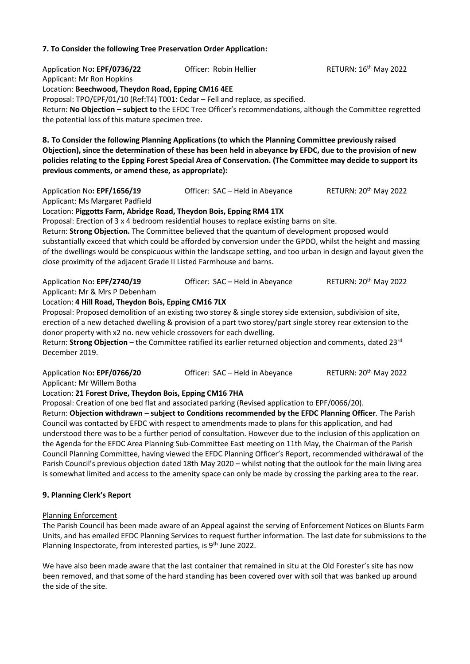#### **7. To Consider the following Tree Preservation Order Application:**

Application No: EPF/0736/22 **Officer: Robin Hellier** RETURN: 16<sup>th</sup> May 2022 Applicant: Mr Ron Hopkins Location: **Beechwood, Theydon Road, Epping CM16 4EE** Proposal: TPO/EPF/01/10 (Ref:T4) T001: Cedar – Fell and replace, as specified. Return: **No Objection – subject to** the EFDC Tree Officer's recommendations, although the Committee regretted the potential loss of this mature specimen tree. **8. To Consider the following Planning Applications (to which the Planning Committee previously raised Objection), since the determination of these has been held in abeyance by EFDC, due to the provision of new policies relating to the Epping Forest Special Area of Conservation. (The Committee may decide to support its previous comments, or amend these, as appropriate):** Application No: **EPF/1656/19** Officer: SAC – Held in Abeyance RETURN: 20<sup>th</sup> May 2022 Applicant: Ms Margaret Padfield Location: **Piggotts Farm, Abridge Road, Theydon Bois, Epping RM4 1TX** Proposal: Erection of 3 x 4 bedroom residential houses to replace existing barns on site. Return: **Strong Objection.** The Committee believed that the quantum of development proposed would substantially exceed that which could be afforded by conversion under the GPDO, whilst the height and massing of the dwellings would be conspicuous within the landscape setting, and too urban in design and layout given the close proximity of the adjacent Grade II Listed Farmhouse and barns. Application No: **EPF/2740/19** Officer: SAC – Held in Abeyance RETURN: 20<sup>th</sup> May 2022 Applicant: Mr & Mrs P Debenham Location: **4 Hill Road, Theydon Bois, Epping CM16 7LX** Proposal: Proposed demolition of an existing two storey & single storey side extension, subdivision of site, erection of a new detached dwelling & provision of a part two storey/part single storey rear extension to the donor property with x2 no. new vehicle crossovers for each dwelling. Return: **Strong Objection** – the Committee ratified its earlier returned objection and comments, dated 23rd December 2019. Application No: **EPF/0766/20** Officer: SAC – Held in Abeyance RETURN: 20<sup>th</sup> May 2022 Applicant: Mr Willem Botha Location: **21 Forest Drive, Theydon Bois, Epping CM16 7HA** Proposal: Creation of one bed flat and associated parking (Revised application to EPF/0066/20). Return: **Objection withdrawn – subject to Conditions recommended by the EFDC Planning Officer**. The Parish Council was contacted by EFDC with respect to amendments made to plans for this application, and had understood there was to be a further period of consultation. However due to the inclusion of this application on the Agenda for the EFDC Area Planning Sub-Committee East meeting on 11th May, the Chairman of the Parish Council Planning Committee, having viewed the EFDC Planning Officer's Report, recommended withdrawal of the Parish Council's previous objection dated 18th May 2020 – whilst noting that the outlook for the main living area is somewhat limited and access to the amenity space can only be made by crossing the parking area to the rear. **9. Planning Clerk's Report** Planning Enforcement

The Parish Council has been made aware of an Appeal against the serving of Enforcement Notices on Blunts Farm Units, and has emailed EFDC Planning Services to request further information. The last date for submissions to the Planning Inspectorate, from interested parties, is 9<sup>th</sup> June 2022.

We have also been made aware that the last container that remained in situ at the Old Forester's site has now been removed, and that some of the hard standing has been covered over with soil that was banked up around the side of the site.